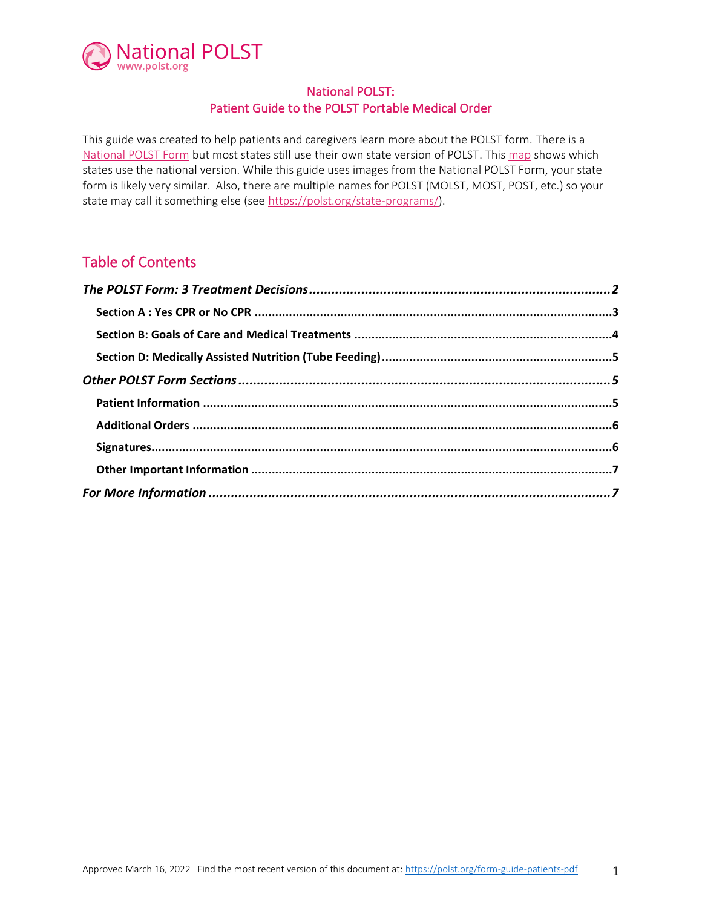

#### National POLST: Patient Guide to the POLST Portable Medical Order

This guide was created to help patients and caregivers learn more about the POLST form. There is a [National POLST Form](https://polst.org/national-polst-form-pdf) but most states still use their own state version of POLST. Thi[s map](https://polst.org/national-form-adoption-map-pdf) shows which states use the national version. While this guide uses images from the National POLST Form, your state form is likely very similar. Also, there are multiple names for POLST (MOLST, MOST, POST, etc.) so your state may call it something else (se[e https://polst.org/state-programs/\)](https://polst.org/state-programs/).

## Table of Contents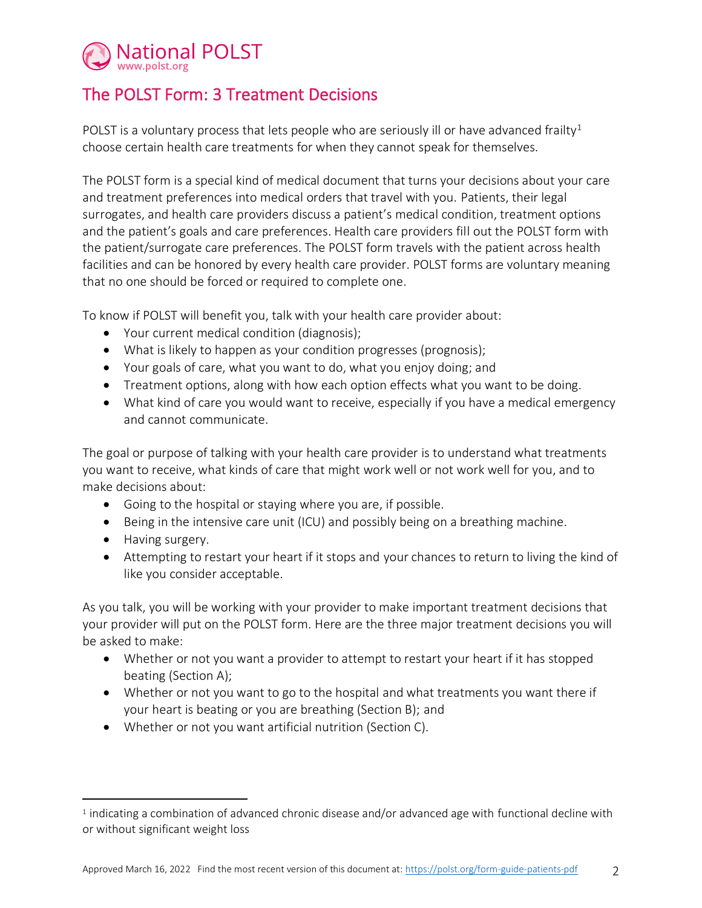

# <span id="page-1-0"></span>The POLST Form: 3 Treatment Decisions

POLST is a voluntary process that lets people who are seriously ill or have advanced frailty<sup>1</sup> choose certain health care treatments for when they cannot speak for themselves.

The POLST form is a special kind of medical document that turns your decisions about your care and treatment preferences into medical orders that travel with you. Patients, their legal surrogates, and health care providers discuss a patient's medical condition, treatment options and the patient's goals and care preferences. Health care providers fill out the POLST form with the patient/surrogate care preferences. The POLST form travels with the patient across health facilities and can be honored by every health care provider. POLST forms are voluntary meaning that no one should be forced or required to complete one.

To know if POLST will benefit you, talk with your health care provider about:

- Your current medical condition (diagnosis);
- What is likely to happen as your condition progresses (prognosis);
- Your goals of care, what you want to do, what you enjoy doing; and
- Treatment options, along with how each option effects what you want to be doing.
- What kind of care you would want to receive, especially if you have a medical emergency and cannot communicate.

The goal or purpose of talking with your health care provider is to understand what treatments you want to receive, what kinds of care that might work well or not work well for you, and to make decisions about:

- Going to the hospital or staying where you are, if possible.
- Being in the intensive care unit (ICU) and possibly being on a breathing machine.
- Having surgery.
- Attempting to restart your heart if it stops and your chances to return to living the kind of like you consider acceptable.

As you talk, you will be working with your provider to make important treatment decisions that your provider will put on the POLST form. Here are the three major treatment decisions you will be asked to make:

- Whether or not you want a provider to attempt to restart your heart if it has stopped beating (Section A);
- Whether or not you want to go to the hospital and what treatments you want there if your heart is beating or you are breathing (Section B); and
- Whether or not you want artificial nutrition (Section C).

 $<sup>1</sup>$  indicating a combination of advanced chronic disease and/or advanced age with functional decline with</sup> or without significant weight loss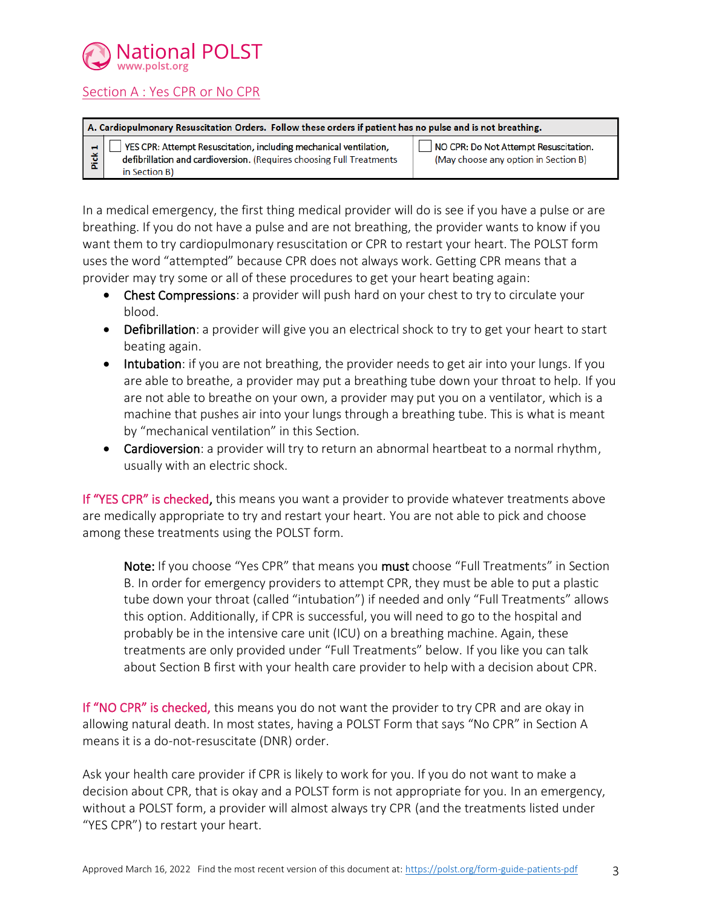

#### <span id="page-2-0"></span>Section A : Yes CPR or No CPR

#### A. Cardiopulmonary Resuscitation Orders. Follow these orders if patient has no pulse and is not breathing.

| 定 | YES CPR: Attempt Resuscitation, including mechanical ventilation,    | NO CPR: Do Not Attempt Resuscitation. |  |
|---|----------------------------------------------------------------------|---------------------------------------|--|
|   | defibrillation and cardioversion. (Requires choosing Full Treatments | (May choose any option in Section B)  |  |
|   | in Section B)                                                        |                                       |  |

In a medical emergency, the first thing medical provider will do is see if you have a pulse or are breathing. If you do not have a pulse and are not breathing, the provider wants to know if you want them to try cardiopulmonary resuscitation or CPR to restart your heart. The POLST form uses the word "attempted" because CPR does not always work. Getting CPR means that a provider may try some or all of these procedures to get your heart beating again:

- Chest Compressions: a provider will push hard on your chest to try to circulate your blood.
- Defibrillation: a provider will give you an electrical shock to try to get your heart to start beating again.
- Intubation: if you are not breathing, the provider needs to get air into your lungs. If you are able to breathe, a provider may put a breathing tube down your throat to help. If you are not able to breathe on your own, a provider may put you on a ventilator, which is a machine that pushes air into your lungs through a breathing tube. This is what is meant by "mechanical ventilation" in this Section.
- Cardioversion: a provider will try to return an abnormal heartbeat to a normal rhythm, usually with an electric shock.

If "YES CPR" is checked, this means you want a provider to provide whatever treatments above are medically appropriate to try and restart your heart. You are not able to pick and choose among these treatments using the POLST form.

Note: If you choose "Yes CPR" that means you must choose "Full Treatments" in Section B. In order for emergency providers to attempt CPR, they must be able to put a plastic tube down your throat (called "intubation") if needed and only "Full Treatments" allows this option. Additionally, if CPR is successful, you will need to go to the hospital and probably be in the intensive care unit (ICU) on a breathing machine. Again, these treatments are only provided under "Full Treatments" below. If you like you can talk about Section B first with your health care provider to help with a decision about CPR.

If "NO CPR" is checked, this means you do not want the provider to try CPR and are okay in allowing natural death. In most states, having a POLST Form that says "No CPR" in Section A means it is a do-not-resuscitate (DNR) order.

Ask your health care provider if CPR is likely to work for you. If you do not want to make a decision about CPR, that is okay and a POLST form is not appropriate for you. In an emergency, without a POLST form, a provider will almost always try CPR (and the treatments listed under "YES CPR") to restart your heart.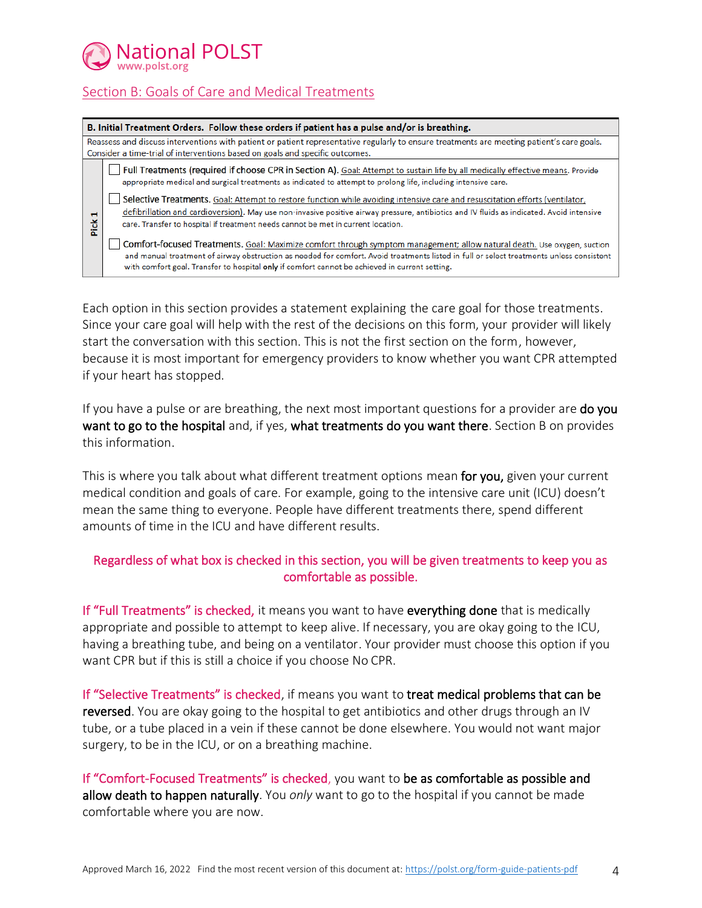

Pick<sub>1</sub>

### <span id="page-3-0"></span>Section B: Goals of Care and Medical Treatments

#### B. Initial Treatment Orders. Follow these orders if patient has a pulse and/or is breathing.

Reassess and discuss interventions with patient or patient representative regularly to ensure treatments are meeting patient's care goals. Consider a time-trial of interventions based on goals and specific outcomes.

- Full Treatments (required if choose CPR in Section A). Goal: Attempt to sustain life by all medically effective means. Provide appropriate medical and surgical treatments as indicated to attempt to prolong life, including intensive care.
- Selective Treatments. Goal: Attempt to restore function while avoiding intensive care and resuscitation efforts (ventilator, defibrillation and cardioversion). May use non-invasive positive airway pressure, antibiotics and IV fluids as indicated. Avoid intensive care. Transfer to hospital if treatment needs cannot be met in current location.
- Comfort-focused Treatments. Goal: Maximize comfort through symptom management; allow natural death. Use oxygen, suction and manual treatment of airway obstruction as needed for comfort. Avoid treatments listed in full or select treatments unless consistent with comfort goal. Transfer to hospital only if comfort cannot be achieved in current setting.

Each option in this section provides a statement explaining the care goal for those treatments. Since your care goal will help with the rest of the decisions on this form, your provider will likely start the conversation with this section. This is not the first section on the form, however, because it is most important for emergency providers to know whether you want CPR attempted if your heart has stopped.

If you have a pulse or are breathing, the next most important questions for a provider are **do you** want to go to the hospital and, if yes, what treatments do you want there. Section B on provides this information.

This is where you talk about what different treatment options mean for you, given your current medical condition and goals of care. For example, going to the intensive care unit (ICU) doesn't mean the same thing to everyone. People have different treatments there, spend different amounts of time in the ICU and have different results.

#### Regardless of what box is checked in this section, you will be given treatments to keep you as comfortable as possible.

If "Full Treatments" is checked, it means you want to have everything done that is medically appropriate and possible to attempt to keep alive. If necessary, you are okay going to the ICU, having a breathing tube, and being on a ventilator. Your provider must choose this option if you want CPR but if this is still a choice if you choose No CPR.

If "Selective Treatments" is checked, if means you want to treat medical problems that can be reversed. You are okay going to the hospital to get antibiotics and other drugs through an IV tube, or a tube placed in a vein if these cannot be done elsewhere. You would not want major surgery, to be in the ICU, or on a breathing machine.

If "Comfort-Focused Treatments" is checked, you want to be as comfortable as possible and allow death to happen naturally. You *only* want to go to the hospital if you cannot be made comfortable where you are now.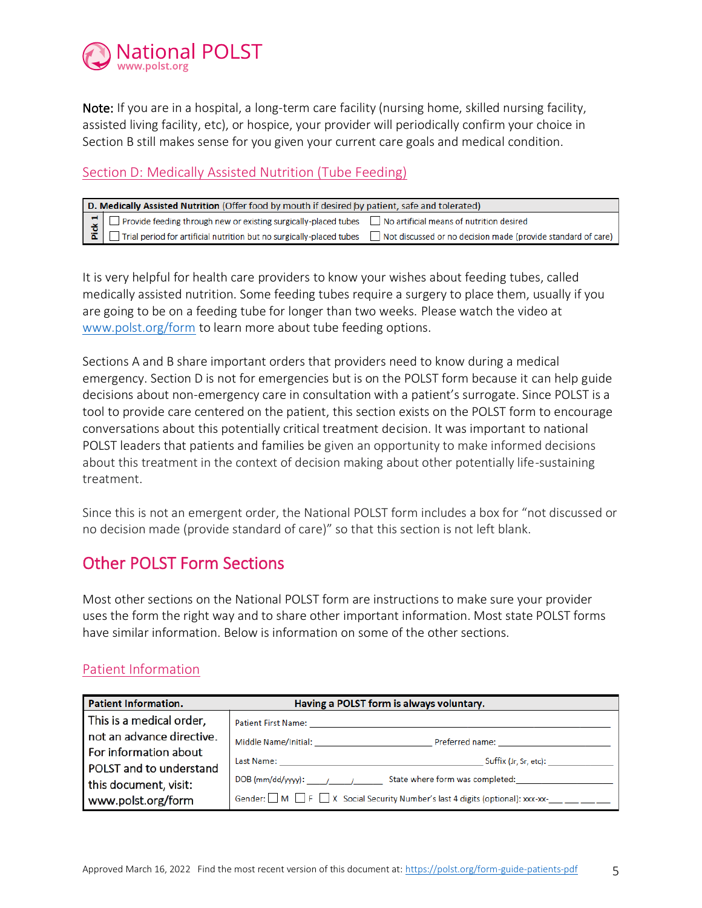

Note: If you are in a hospital, a long-term care facility (nursing home, skilled nursing facility, assisted living facility, etc), or hospice, your provider will periodically confirm your choice in Section B still makes sense for you given your current care goals and medical condition.

#### <span id="page-4-0"></span>Section D: Medically Assisted Nutrition (Tube Feeding)

| D. Medically Assisted Nutrition (Offer food by mouth if desired by patient, safe and tolerated) |                                                                                                                                                                    |                                                              |  |  |  |
|-------------------------------------------------------------------------------------------------|--------------------------------------------------------------------------------------------------------------------------------------------------------------------|--------------------------------------------------------------|--|--|--|
|                                                                                                 | $\boxed{\frac{1}{2}}$ $\boxed{\phantom{0}}$ Provide feeding through new or existing surgically-placed tubes $\phantom{0}$ No artificial means of nutrition desired |                                                              |  |  |  |
|                                                                                                 | $\frac{2}{\alpha}$ $\Box$ Trial period for artificial nutrition but no surgically-placed tubes                                                                     | Not discussed or no decision made (provide standard of care) |  |  |  |

It is very helpful for health care providers to know your wishes about feeding tubes, called medically assisted nutrition. Some feeding tubes require a surgery to place them, usually if you are going to be on a feeding tube for longer than two weeks. Please watch the video at [www.polst.org/form](http://www.polst.org/form) to learn more about tube feeding options.

Sections A and B share important orders that providers need to know during a medical emergency. Section D is not for emergencies but is on the POLST form because it can help guide decisions about non-emergency care in consultation with a patient's surrogate. Since POLST is a tool to provide care centered on the patient, this section exists on the POLST form to encourage conversations about this potentially critical treatment decision. It was important to national POLST leaders that patients and families be given an opportunity to make informed decisions about this treatment in the context of decision making about other potentially life-sustaining treatment.

Since this is not an emergent order, the National POLST form includes a box for "not discussed or no decision made (provide standard of care)" so that this section is not left blank.

# <span id="page-4-1"></span>Other POLST Form Sections

Most other sections on the National POLST form are instructions to make sure your provider uses the form the right way and to share other important information. Most state POLST forms have similar information. Below is information on some of the other sections.

### <span id="page-4-2"></span>Patient Information

| <b>Patient Information.</b> | Having a POLST form is always voluntary.                                                                                                                                                                                                                |  |  |  |
|-----------------------------|---------------------------------------------------------------------------------------------------------------------------------------------------------------------------------------------------------------------------------------------------------|--|--|--|
| This is a medical order,    | Patient First Name:                                                                                                                                                                                                                                     |  |  |  |
| not an advance directive.   | Preferred name: The contract of the contract of the contract of the contract of the contract of the contract o                                                                                                                                          |  |  |  |
| For information about       | Suffix (Jr, Sr, etc):<br>Last Name: The Commission of the Commission of the Commission of the Commission of the Commission of the Commission of the Commission of the Commission of the Commission of the Commission of the Commission of the Commissio |  |  |  |
| POLST and to understand     |                                                                                                                                                                                                                                                         |  |  |  |
| this document, visit:       | State where form was completed:<br>$DOB$ (mm/dd/yyyy): $\qquad \qquad /$                                                                                                                                                                                |  |  |  |
| www.polst.org/form          | Gender: $\Box$ M $\Box$ F $\Box$ X Social Security Number's last 4 digits (optional): xxx-xx- $\Box$                                                                                                                                                    |  |  |  |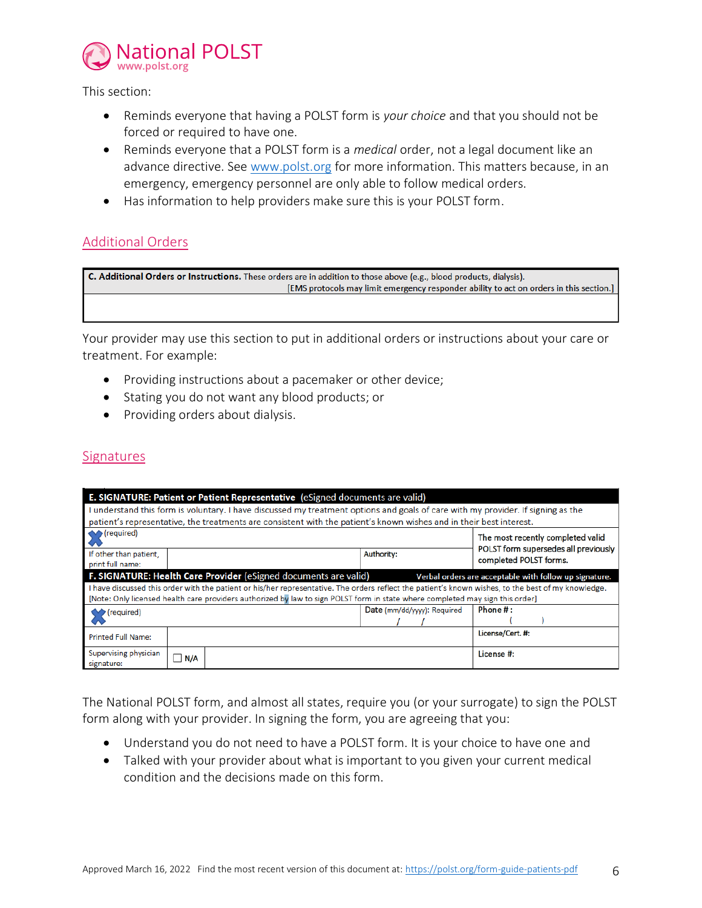

This section:

- Reminds everyone that having a POLST form is *your choice* and that you should not be forced or required to have one.
- Reminds everyone that a POLST form is a *medical* order, not a legal document like an advance directive. See [www.polst.org](http://www.polst.org/) for more information. This matters because, in an emergency, emergency personnel are only able to follow medical orders.
- Has information to help providers make sure this is your POLST form.

#### <span id="page-5-0"></span>Additional Orders

C. Additional Orders or Instructions. These orders are in addition to those above (e.g., blood products, dialysis). [EMS protocols may limit emergency responder ability to act on orders in this section.]

Your provider may use this section to put in additional orders or instructions about your care or treatment. For example:

- Providing instructions about a pacemaker or other device;
- Stating you do not want any blood products; or
- Providing orders about dialysis.

#### <span id="page-5-1"></span>**Signatures**

| E. SIGNATURE: Patient or Patient Representative (eSigned documents are valid)                                                    |                                                                                                                                                     |                                                                                                                               |                                   |                                                                |  |  |  |  |
|----------------------------------------------------------------------------------------------------------------------------------|-----------------------------------------------------------------------------------------------------------------------------------------------------|-------------------------------------------------------------------------------------------------------------------------------|-----------------------------------|----------------------------------------------------------------|--|--|--|--|
| I understand this form is voluntary. I have discussed my treatment options and goals of care with my provider. If signing as the |                                                                                                                                                     |                                                                                                                               |                                   |                                                                |  |  |  |  |
|                                                                                                                                  | patient's representative, the treatments are consistent with the patient's known wishes and in their best interest.                                 |                                                                                                                               |                                   |                                                                |  |  |  |  |
| $\blacktriangleright$ (required)                                                                                                 |                                                                                                                                                     |                                                                                                                               | The most recently completed valid |                                                                |  |  |  |  |
| If other than patient,<br>print full name:                                                                                       |                                                                                                                                                     |                                                                                                                               | Authority:                        | POLST form supersedes all previously<br>completed POLST forms. |  |  |  |  |
|                                                                                                                                  | <b>F. SIGNATURE: Health Care Provider (eSigned documents are valid)</b><br>Verbal orders are acceptable with follow up signature.                   |                                                                                                                               |                                   |                                                                |  |  |  |  |
|                                                                                                                                  | I have discussed this order with the patient or his/her representative. The orders reflect the patient's known wishes, to the best of my knowledge. |                                                                                                                               |                                   |                                                                |  |  |  |  |
|                                                                                                                                  |                                                                                                                                                     | [Note: Only licensed health care providers authorized by law to sign POLST form in state where completed may sign this order] |                                   |                                                                |  |  |  |  |
| (required)                                                                                                                       |                                                                                                                                                     |                                                                                                                               | Date (mm/dd/yyyy): Required       | Phone#:                                                        |  |  |  |  |
|                                                                                                                                  |                                                                                                                                                     |                                                                                                                               |                                   |                                                                |  |  |  |  |
| <b>Printed Full Name:</b>                                                                                                        |                                                                                                                                                     |                                                                                                                               |                                   | License/Cert. #:                                               |  |  |  |  |
| Supervising physician<br>signature:                                                                                              | $\Box$ N/A                                                                                                                                          |                                                                                                                               |                                   | License #:                                                     |  |  |  |  |

The National POLST form, and almost all states, require you (or your surrogate) to sign the POLST form along with your provider. In signing the form, you are agreeing that you:

- Understand you do not need to have a POLST form. It is your choice to have one and
- Talked with your provider about what is important to you given your current medical condition and the decisions made on this form.